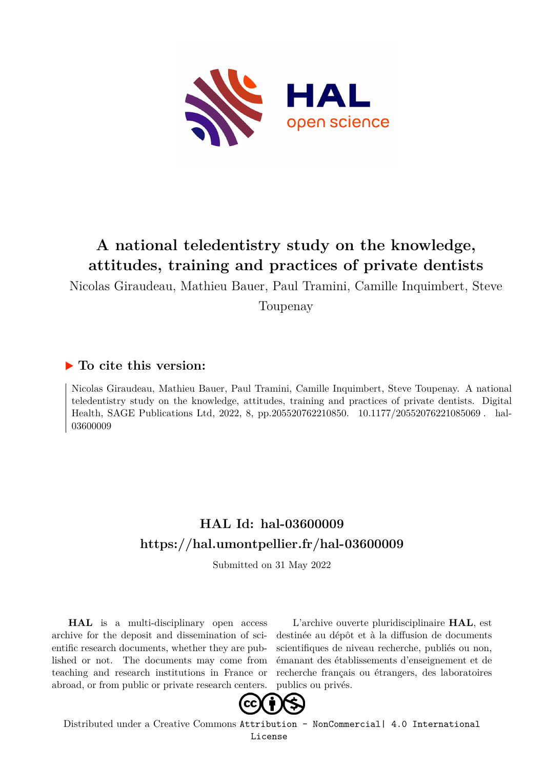

# **A national teledentistry study on the knowledge, attitudes, training and practices of private dentists**

Nicolas Giraudeau, Mathieu Bauer, Paul Tramini, Camille Inquimbert, Steve

Toupenay

## **To cite this version:**

Nicolas Giraudeau, Mathieu Bauer, Paul Tramini, Camille Inquimbert, Steve Toupenay. A national teledentistry study on the knowledge, attitudes, training and practices of private dentists. Digital Health, SAGE Publications Ltd, 2022, 8, pp.205520762210850. 10.1177/20552076221085069. hal-03600009

## **HAL Id: hal-03600009 <https://hal.umontpellier.fr/hal-03600009>**

Submitted on 31 May 2022

**HAL** is a multi-disciplinary open access archive for the deposit and dissemination of scientific research documents, whether they are published or not. The documents may come from teaching and research institutions in France or abroad, or from public or private research centers.

L'archive ouverte pluridisciplinaire **HAL**, est destinée au dépôt et à la diffusion de documents scientifiques de niveau recherche, publiés ou non, émanant des établissements d'enseignement et de recherche français ou étrangers, des laboratoires publics ou privés.



Distributed under a Creative Commons [Attribution - NonCommercial| 4.0 International](http://creativecommons.org/licenses/by-nc/4.0/) [License](http://creativecommons.org/licenses/by-nc/4.0/)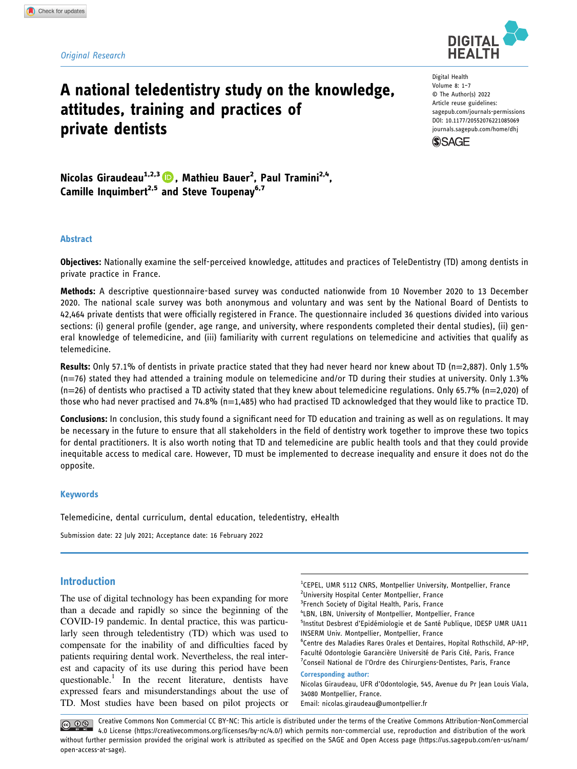#### Original Research

## A national teledentistry study on the knowledge, attitudes, training and practices of private dentists

Digital Health Volume 8: 1–7 © The Author(s) 2022 Article reuse guidelines: [sagepub.com/journals-permissions](https://us.sagepub.com/en-us/journals-permissions) DOI: 10.1177/20552076221085069 [journals.sagepub.com/home/dhj](https://journals.sagepub.com/home/dhj)



Nicolas Giraudeau<sup>1,2,3</sup> (D, Mathieu Bauer<sup>2</sup>, Paul Tramini<sup>2,4</sup>, Camille Inquimbert<sup>2,5</sup> and Steve Toupenay<sup>6,7</sup>

#### Abstract

Objectives: Nationally examine the self-perceived knowledge, attitudes and practices of TeleDentistry (TD) among dentists in private practice in France.

Methods: A descriptive questionnaire-based survey was conducted nationwide from 10 November 2020 to 13 December 2020. The national scale survey was both anonymous and voluntary and was sent by the National Board of Dentists to 42,464 private dentists that were officially registered in France. The questionnaire included 36 questions divided into various sections: (i) general profile (gender, age range, and university, where respondents completed their dental studies), (ii) general knowledge of telemedicine, and (iii) familiarity with current regulations on telemedicine and activities that qualify as telemedicine.

Results: Only 57.1% of dentists in private practice stated that they had never heard nor knew about TD ( $n=2,887$ ). Only 1.5% (n=76) stated they had attended a training module on telemedicine and/or TD during their studies at university. Only 1.3% (n=26) of dentists who practised a TD activity stated that they knew about telemedicine regulations. Only 65.7% (n=2,020) of those who had never practised and 74.8% ( $n=1,485$ ) who had practised TD acknowledged that they would like to practice TD.

Conclusions: In conclusion, this study found a significant need for TD education and training as well as on regulations. It may be necessary in the future to ensure that all stakeholders in the field of dentistry work together to improve these two topics for dental practitioners. It is also worth noting that TD and telemedicine are public health tools and that they could provide inequitable access to medical care. However, TD must be implemented to decrease inequality and ensure it does not do the opposite.

#### Keywords

Telemedicine, dental curriculum, dental education, teledentistry, eHealth

Submission date: 22 July 2021; Acceptance date: 16 February 2022

### Introduction

The use of digital technology has been expanding for more than a decade and rapidly so since the beginning of the COVID-19 pandemic. In dental practice, this was particularly seen through teledentistry (TD) which was used to compensate for the inability of and difficulties faced by patients requiring dental work. Nevertheless, the real interest and capacity of its use during this period have been questionable.<sup>1</sup> In the recent literature, dentists have expressed fears and misunderstandings about the use of TD. Most studies have been based on pilot projects or

<sup>1</sup>CEPEL, UMR 5112 CNRS, Montpellier University, Montpellier, France <sup>2</sup>University Hospital Center Montpellier, France <sup>3</sup>French Society of Digital Health, Paris, France 4 LBN, LBN, University of Montpellier, Montpellier, France 5 Institut Desbrest d'Epidémiologie et de Santé Publique, IDESP UMR UA11 INSERM Univ. Montpellier, Montpellier, France <sup>6</sup>Centre des Maladies Rares Orales et Dentaires, Hopital Rothschild, AP-HP, Faculté Odontologie Garancière Université de Paris Cité, Paris, France <sup>7</sup>Conseil National de l'Ordre des Chirurgiens-Dentistes, Paris, France Corresponding author: Nicolas Giraudeau, UFR d'Odontologie, 545, Avenue du Pr Jean Louis Viala, 34080 Montpellier, France.

Email: [nicolas.giraudeau@umontpellier.fr](mailto:nicolas.giraudeau@umontpellier.fr)

Creative Commons Non Commercial CC BY-NC: This article is distributed under the terms of the Creative Commons Attribution-NonCommercial  $\bigcirc$   $\bullet$ 4.0 License ([https://creativecommons.org/licenses/by-nc/4.0/\) which permits non-commercial use, reproduction and distribution of the work](https://creativecommons.org/licenses/by-nc/4.0/) without further permission provided the original work is attributed as specifi[ed on the SAGE and Open Access page \(https://us.sagepub.com/en-us/nam/](https://us.sagepub.com/en-us/nam/open-access-at-sage) [open-access-at-sage\).](https://us.sagepub.com/en-us/nam/open-access-at-sage)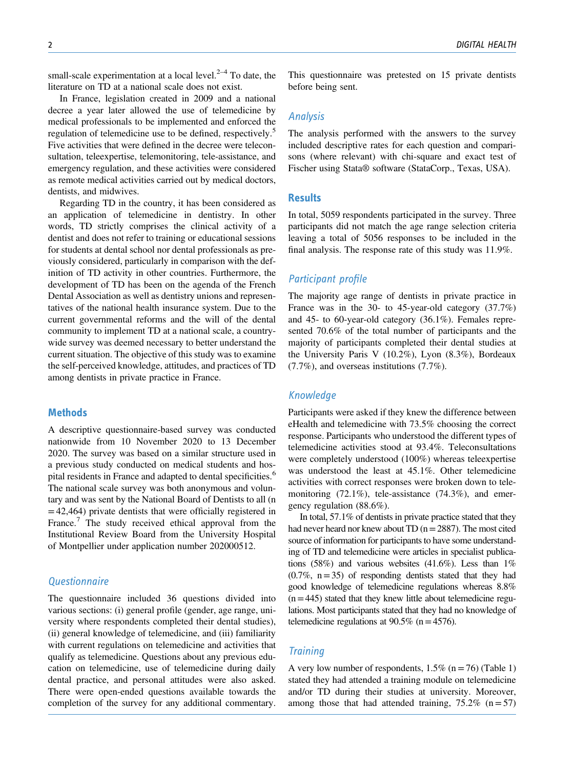small-scale experimentation at a local level. $2<sup>2-4</sup>$  To date, the literature on TD at a national scale does not exist.

In France, legislation created in 2009 and a national decree a year later allowed the use of telemedicine by medical professionals to be implemented and enforced the regulation of telemedicine use to be defined, respectively.<sup>5</sup> Five activities that were defined in the decree were teleconsultation, teleexpertise, telemonitoring, tele-assistance, and emergency regulation, and these activities were considered as remote medical activities carried out by medical doctors, dentists, and midwives.

Regarding TD in the country, it has been considered as an application of telemedicine in dentistry. In other words, TD strictly comprises the clinical activity of a dentist and does not refer to training or educational sessions for students at dental school nor dental professionals as previously considered, particularly in comparison with the definition of TD activity in other countries. Furthermore, the development of TD has been on the agenda of the French Dental Association as well as dentistry unions and representatives of the national health insurance system. Due to the current governmental reforms and the will of the dental community to implement TD at a national scale, a countrywide survey was deemed necessary to better understand the current situation. The objective of this study was to examine the self-perceived knowledge, attitudes, and practices of TD among dentists in private practice in France.

#### **Methods**

A descriptive questionnaire-based survey was conducted nationwide from 10 November 2020 to 13 December 2020. The survey was based on a similar structure used in a previous study conducted on medical students and hospital residents in France and adapted to dental specificities.<sup>6</sup> The national scale survey was both anonymous and voluntary and was sent by the National Board of Dentists to all (n  $=42,464$ ) private dentists that were officially registered in France.<sup>7</sup> The study received ethical approval from the Institutional Review Board from the University Hospital of Montpellier under application number 202000512.

#### **Questionnaire**

The questionnaire included 36 questions divided into various sections: (i) general profile (gender, age range, university where respondents completed their dental studies), (ii) general knowledge of telemedicine, and (iii) familiarity with current regulations on telemedicine and activities that qualify as telemedicine. Questions about any previous education on telemedicine, use of telemedicine during daily dental practice, and personal attitudes were also asked. There were open-ended questions available towards the completion of the survey for any additional commentary. This questionnaire was pretested on 15 private dentists before being sent.

#### Analysis

The analysis performed with the answers to the survey included descriptive rates for each question and comparisons (where relevant) with chi-square and exact test of Fischer using Stata® software (StataCorp., Texas, USA).

#### **Results**

In total, 5059 respondents participated in the survey. Three participants did not match the age range selection criteria leaving a total of 5056 responses to be included in the final analysis. The response rate of this study was 11.9%.

#### Participant profile

The majority age range of dentists in private practice in France was in the 30- to 45-year-old category (37.7%) and 45- to 60-year-old category (36.1%). Females represented 70.6% of the total number of participants and the majority of participants completed their dental studies at the University Paris V (10.2%), Lyon (8.3%), Bordeaux (7.7%), and overseas institutions (7.7%).

### Knowledge

Participants were asked if they knew the difference between eHealth and telemedicine with 73.5% choosing the correct response. Participants who understood the different types of telemedicine activities stood at 93.4%. Teleconsultations were completely understood (100%) whereas teleexpertise was understood the least at 45.1%. Other telemedicine activities with correct responses were broken down to telemonitoring (72.1%), tele-assistance (74.3%), and emergency regulation (88.6%).

In total, 57.1% of dentists in private practice stated that they had never heard nor knew about TD  $(n=2887)$ . The most cited source of information for participants to have some understanding of TD and telemedicine were articles in specialist publications (58%) and various websites (41.6%). Less than  $1\%$  $(0.7\%, n=35)$  of responding dentists stated that they had good knowledge of telemedicine regulations whereas 8.8%  $(n=445)$  stated that they knew little about telemedicine regulations. Most participants stated that they had no knowledge of telemedicine regulations at  $90.5\%$  (n = 4576).

#### **Training**

A very low number of respondents,  $1.5\%$  (n = 76) (Table 1) stated they had attended a training module on telemedicine and/or TD during their studies at university. Moreover, among those that had attended training,  $75.2\%$  (n = 57)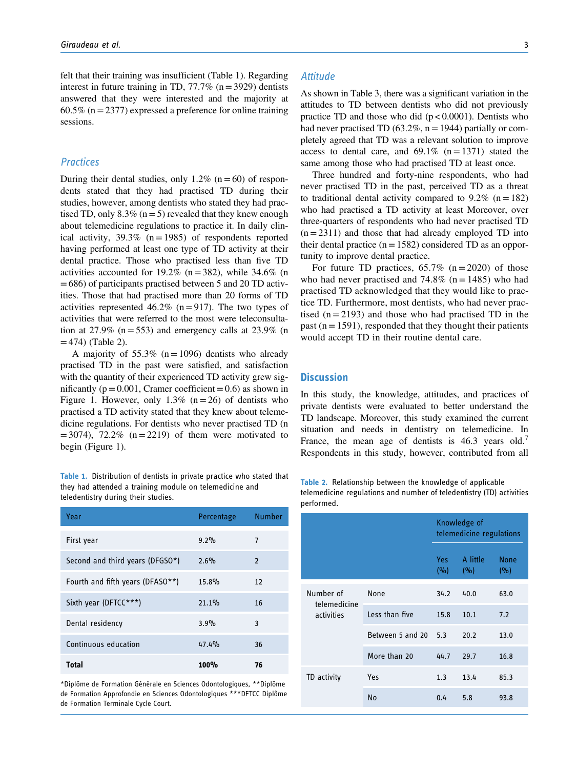felt that their training was insufficient (Table 1). Regarding interest in future training in TD,  $77.7\%$  (n = 3929) dentists answered that they were interested and the majority at  $60.5\%$  (n = 2377) expressed a preference for online training sessions.

#### **Practices**

During their dental studies, only 1.2% ( $n=60$ ) of respondents stated that they had practised TD during their studies, however, among dentists who stated they had practised TD, only  $8.3\%$  (n = 5) revealed that they knew enough about telemedicine regulations to practice it. In daily clinical activity,  $39.3\%$  (n = 1985) of respondents reported having performed at least one type of TD activity at their dental practice. Those who practised less than five TD activities accounted for 19.2% (n = 382), while 34.6% (n =686) of participants practised between 5 and 20 TD activities. Those that had practised more than 20 forms of TD activities represented 46.2% (n = 917). The two types of activities that were referred to the most were teleconsultation at 27.9% ( $n = 553$ ) and emergency calls at 23.9% (n  $=474$ ) (Table 2).

A majority of 55.3% ( $n=1096$ ) dentists who already practised TD in the past were satisfied, and satisfaction with the quantity of their experienced TD activity grew significantly ( $p = 0.001$ , Cramer coefficient = 0.6) as shown in Figure 1. However, only 1.3% ( $n = 26$ ) of dentists who practised a TD activity stated that they knew about telemedicine regulations. For dentists who never practised TD (n  $=$  3074), 72.2% (n  $=$  2219) of them were motivated to begin (Figure 1).

Table 1. Distribution of dentists in private practice who stated that they had attended a training module on telemedicine and teledentistry during their studies.

| Year                             | Percentage | <b>Number</b>  |
|----------------------------------|------------|----------------|
| First year                       | 9.2%       | 7              |
| Second and third years (DFGSO*)  | 2.6%       | $\overline{2}$ |
| Fourth and fifth years (DFASO**) | 15.8%      | 12             |
| Sixth year (DFTCC***)            | 21.1%      | 16             |
| Dental residency                 | 3.9%       | 3              |
| Continuous education             | 47.4%      | 36             |
| Total                            | 100%       | 76             |

\*Diplôme de Formation Générale en Sciences Odontologiques, \*\*Diplôme de Formation Approfondie en Sciences Odontologiques \*\*\*DFTCC Diplôme de Formation Terminale Cycle Court.

#### **Attitude**

As shown in Table 3, there was a significant variation in the attitudes to TD between dentists who did not previously practice TD and those who did  $(p < 0.0001)$ . Dentists who had never practised TD (63.2%,  $n = 1944$ ) partially or completely agreed that TD was a relevant solution to improve access to dental care, and  $69.1\%$  (n = 1371) stated the same among those who had practised TD at least once.

Three hundred and forty-nine respondents, who had never practised TD in the past, perceived TD as a threat to traditional dental activity compared to  $9.2\%$  (n = 182) who had practised a TD activity at least Moreover, over three-quarters of respondents who had never practised TD  $(n = 2311)$  and those that had already employed TD into their dental practice  $(n = 1582)$  considered TD as an opportunity to improve dental practice.

For future TD practices,  $65.7\%$  (n = 2020) of those who had never practised and  $74.8\%$  (n = 1485) who had practised TD acknowledged that they would like to practice TD. Furthermore, most dentists, who had never practised  $(n = 2193)$  and those who had practised TD in the past ( $n = 1591$ ), responded that they thought their patients would accept TD in their routine dental care.

#### **Discussion**

In this study, the knowledge, attitudes, and practices of private dentists were evaluated to better understand the TD landscape. Moreover, this study examined the current situation and needs in dentistry on telemedicine. In France, the mean age of dentists is 46.3 years old.<sup>7</sup> Respondents in this study, however, contributed from all

Table 2. Relationship between the knowledge of applicable telemedicine regulations and number of teledentistry (TD) activities performed.

|                                         |                  | Knowledge of<br>telemedicine regulations |                 |                    |  |
|-----------------------------------------|------------------|------------------------------------------|-----------------|--------------------|--|
|                                         |                  | Yes a<br>(%)                             | A little<br>(%) | <b>None</b><br>(%) |  |
| Number of<br>telemedicine<br>activities | None             | 34.2                                     | 40.0            | 63.0               |  |
|                                         | Less than five   | 15.8                                     | 10.1            | 7.2                |  |
|                                         | Between 5 and 20 | 5.3                                      | 20.2            | 13.0               |  |
|                                         | More than 20     | 44.7                                     | 29.7            | 16.8               |  |
| TD activity                             | Yes              | 1.3                                      | 13.4            | 85.3               |  |
|                                         | <b>No</b>        | 0.4                                      | 5.8             | 93.8               |  |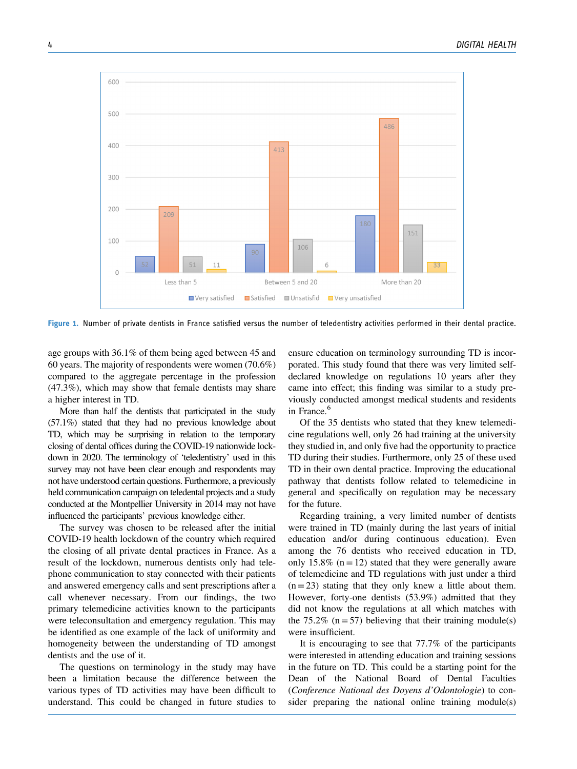

Figure 1. Number of private dentists in France satisfied versus the number of teledentistry activities performed in their dental practice.

age groups with 36.1% of them being aged between 45 and 60 years. The majority of respondents were women (70.6%) compared to the aggregate percentage in the profession (47.3%), which may show that female dentists may share a higher interest in TD.

More than half the dentists that participated in the study (57.1%) stated that they had no previous knowledge about TD, which may be surprising in relation to the temporary closing of dental offices during the COVID-19 nationwide lockdown in 2020. The terminology of 'teledentistry' used in this survey may not have been clear enough and respondents may not have understood certain questions. Furthermore, a previously held communication campaign on teledental projects and a study conducted at the Montpellier University in 2014 may not have influenced the participants' previous knowledge either.

The survey was chosen to be released after the initial COVID-19 health lockdown of the country which required the closing of all private dental practices in France. As a result of the lockdown, numerous dentists only had telephone communication to stay connected with their patients and answered emergency calls and sent prescriptions after a call whenever necessary. From our findings, the two primary telemedicine activities known to the participants were teleconsultation and emergency regulation. This may be identified as one example of the lack of uniformity and homogeneity between the understanding of TD amongst dentists and the use of it.

The questions on terminology in the study may have been a limitation because the difference between the various types of TD activities may have been difficult to understand. This could be changed in future studies to ensure education on terminology surrounding TD is incorporated. This study found that there was very limited selfdeclared knowledge on regulations 10 years after they came into effect; this finding was similar to a study previously conducted amongst medical students and residents in France.<sup>6</sup>

Of the 35 dentists who stated that they knew telemedicine regulations well, only 26 had training at the university they studied in, and only five had the opportunity to practice TD during their studies. Furthermore, only 25 of these used TD in their own dental practice. Improving the educational pathway that dentists follow related to telemedicine in general and specifically on regulation may be necessary for the future.

Regarding training, a very limited number of dentists were trained in TD (mainly during the last years of initial education and/or during continuous education). Even among the 76 dentists who received education in TD, only 15.8% ( $n = 12$ ) stated that they were generally aware of telemedicine and TD regulations with just under a third  $(n=23)$  stating that they only knew a little about them. However, forty-one dentists (53.9%) admitted that they did not know the regulations at all which matches with the 75.2% ( $n=57$ ) believing that their training module(s) were insufficient.

It is encouraging to see that 77.7% of the participants were interested in attending education and training sessions in the future on TD. This could be a starting point for the Dean of the National Board of Dental Faculties (Conference National des Doyens d'Odontologie) to consider preparing the national online training module(s)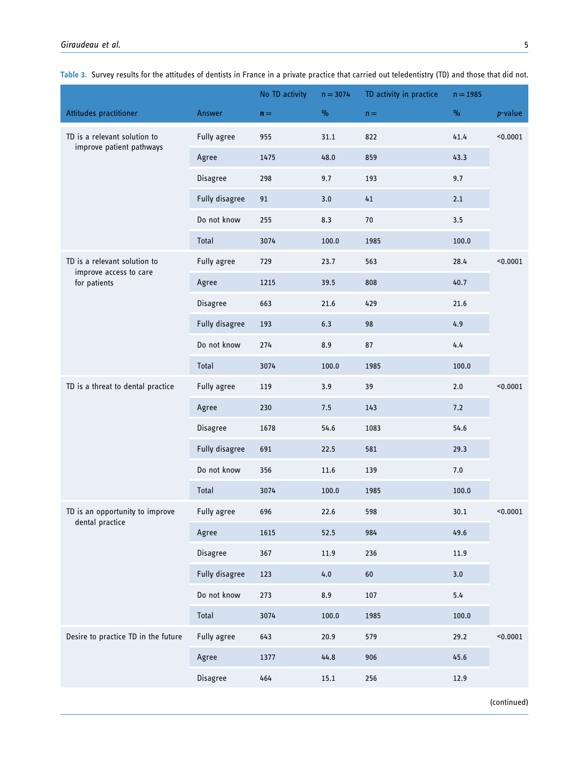|                                                          |                | No TD activity | $n = 3074$ | TD activity in practice | $n = 1985$                |            |
|----------------------------------------------------------|----------------|----------------|------------|-------------------------|---------------------------|------------|
| Attitudes practitioner                                   | Answer         | $n =$          | $\%$       | $n =$                   | $\mathsf{o}\!/\mathsf{o}$ | $p$ -value |
| TD is a relevant solution to<br>improve patient pathways | Fully agree    | 955            | 31.1       | 822                     | 41.4                      | < 0.0001   |
|                                                          | Agree          | 1475           | 48.0       | 859                     | 43.3                      |            |
|                                                          | Disagree       | 298            | 9.7        | 193                     | 9.7                       |            |
|                                                          | Fully disagree | 91             | 3.0        | 41                      | 2.1                       |            |
|                                                          | Do not know    | 255            | 8.3        | 70                      | 3.5                       |            |
|                                                          | Total          | 3074           | 100.0      | 1985                    | 100.0                     |            |
| TD is a relevant solution to                             | Fully agree    | 729            | 23.7       | 563                     | 28.4                      | $0.0001$   |
| improve access to care<br>for patients                   | Agree          | 1215           | 39.5       | 808                     | 40.7                      |            |
|                                                          | Disagree       | 663            | 21.6       | 429                     | 21.6                      |            |
|                                                          | Fully disagree | 193            | 6.3        | 98                      | 4.9                       |            |
|                                                          | Do not know    | 274            | 8.9        | 87                      | 4.4                       |            |
|                                                          | Total          | 3074           | 100.0      | 1985                    | 100.0                     |            |
| TD is a threat to dental practice                        | Fully agree    | 119            | 3.9        | 39                      | 2.0                       | < 0.0001   |
|                                                          | Agree          | 230            | 7.5        | 143                     | 7.2                       |            |
|                                                          | Disagree       | 1678           | 54.6       | 1083                    | 54.6                      |            |
|                                                          | Fully disagree | 691            | 22.5       | 581                     | 29.3                      |            |
|                                                          | Do not know    | 356            | 11.6       | 139                     | 7.0                       |            |
|                                                          | Total          | 3074           | 100.0      | 1985                    | 100.0                     |            |
| TD is an opportunity to improve                          | Fully agree    | 696            | 22.6       | 598                     | 30.1                      | $0.0001$   |
| dental practice                                          | Agree          | 1615           | 52.5       | 984                     | 49.6                      |            |
|                                                          | Disagree       | 367            | 11.9       | 236                     | 11.9                      |            |
|                                                          | Fully disagree | 123            | 4.0        | 60                      | 3.0                       |            |
|                                                          | Do not know    | 273            | 8.9        | 107                     | 5.4                       |            |
|                                                          | Total          | 3074           | 100.0      | 1985                    | 100.0                     |            |
| Desire to practice TD in the future                      | Fully agree    | 643            | 20.9       | 579                     | 29.2                      | $0.0001$   |
|                                                          | Agree          | 1377           | 44.8       | 906                     | 45.6                      |            |
|                                                          | Disagree       | 464            | $15.1\,$   | 256                     | 12.9                      |            |
|                                                          |                |                |            |                         |                           |            |

Table 3. Survey results for the attitudes of dentists in France in a private practice that carried out teledentistry (TD) and those that did not.

(continued)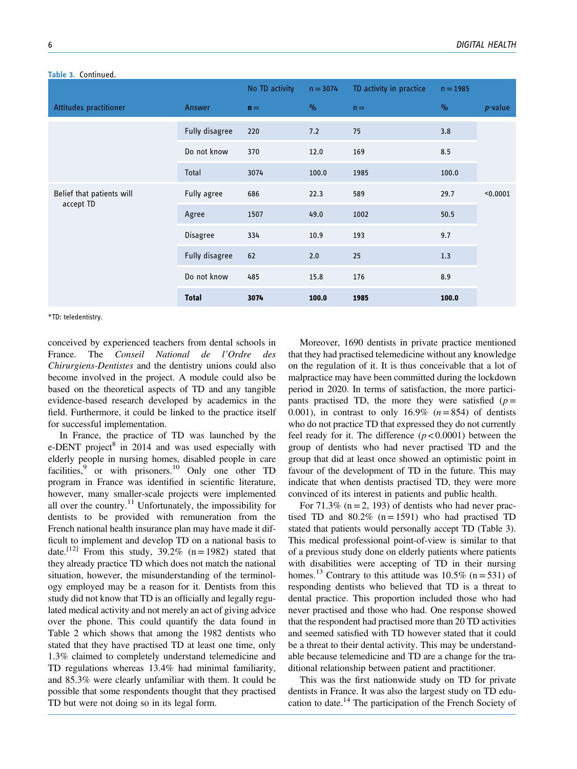|                                        |                | No TD activity | $n = 3074$ | TD activity in practice | $n = 1985$ |            |
|----------------------------------------|----------------|----------------|------------|-------------------------|------------|------------|
| Attitudes practitioner                 | Answer         | $n =$          | $\%$       | $n =$                   | $\%$       | $p$ -value |
|                                        | Fully disagree | 220            | 7.2        | 75                      | 3.8        |            |
|                                        | Do not know    | 370            | 12.0       | 169                     | 8.5        |            |
|                                        | Total          | 3074           | 100.0      | 1985                    | 100.0      |            |
| Belief that patients will<br>accept TD | Fully agree    | 686            | 22.3       | 589                     | 29.7       | < 0.0001   |
|                                        | Agree          | 1507           | 49.0       | 1002                    | 50.5       |            |
|                                        | Disagree       | 334            | 10.9       | 193                     | 9.7        |            |
|                                        | Fully disagree | 62             | 2.0        | 25                      | 1.3        |            |
|                                        | Do not know    | 485            | 15.8       | 176                     | 8.9        |            |
|                                        | <b>Total</b>   | 3074           | 100.0      | 1985                    | 100.0      |            |

#### Table 3. Continued

\*TD: teledentistry.

conceived by experienced teachers from dental schools in France. The Conseil National de l'Ordre des Chirurgiens-Dentistes and the dentistry unions could also become involved in the project. A module could also be based on the theoretical aspects of TD and any tangible evidence-based research developed by academics in the field. Furthermore, it could be linked to the practice itself for successful implementation.

In France, the practice of TD was launched by the e-DENT project<sup>8</sup> in 2014 and was used especially with elderly people in nursing homes, disabled people in care facilities,  $9$  or with prisoners.<sup>10</sup> Only one other TD program in France was identified in scientific literature, however, many smaller-scale projects were implemented all over the country.<sup>11</sup> Unfortunately, the impossibility for dentists to be provided with remuneration from the French national health insurance plan may have made it difficult to implement and develop TD on a national basis to date.<sup>[12]</sup> From this study, 39.2% (n = 1982) stated that they already practice TD which does not match the national situation, however, the misunderstanding of the terminology employed may be a reason for it. Dentists from this study did not know that TD is an officially and legally regulated medical activity and not merely an act of giving advice over the phone. This could quantify the data found in Table 2 which shows that among the 1982 dentists who stated that they have practised TD at least one time, only 1.3% claimed to completely understand telemedicine and TD regulations whereas 13.4% had minimal familiarity, and 85.3% were clearly unfamiliar with them. It could be possible that some respondents thought that they practised TD but were not doing so in its legal form.

Moreover, 1690 dentists in private practice mentioned that they had practised telemedicine without any knowledge on the regulation of it. It is thus conceivable that a lot of malpractice may have been committed during the lockdown period in 2020. In terms of satisfaction, the more participants practised TD, the more they were satisfied ( $p=$ 0.001), in contrast to only 16.9%  $(n=854)$  of dentists who do not practice TD that expressed they do not currently feel ready for it. The difference  $(p < 0.0001)$  between the group of dentists who had never practised TD and the group that did at least once showed an optimistic point in favour of the development of TD in the future. This may indicate that when dentists practised TD, they were more convinced of its interest in patients and public health.

For  $71.3\%$  (n = 2, 193) of dentists who had never practised TD and  $80.2\%$  (n = 1591) who had practised TD stated that patients would personally accept TD (Table 3). This medical professional point-of-view is similar to that of a previous study done on elderly patients where patients with disabilities were accepting of TD in their nursing homes.<sup>13</sup> Contrary to this attitude was 10.5% (n = 531) of responding dentists who believed that TD is a threat to dental practice. This proportion included those who had never practised and those who had. One response showed that the respondent had practised more than 20 TD activities and seemed satisfied with TD however stated that it could be a threat to their dental activity. This may be understandable because telemedicine and TD are a change for the traditional relationship between patient and practitioner.

This was the first nationwide study on TD for private dentists in France. It was also the largest study on TD education to date.14 The participation of the French Society of